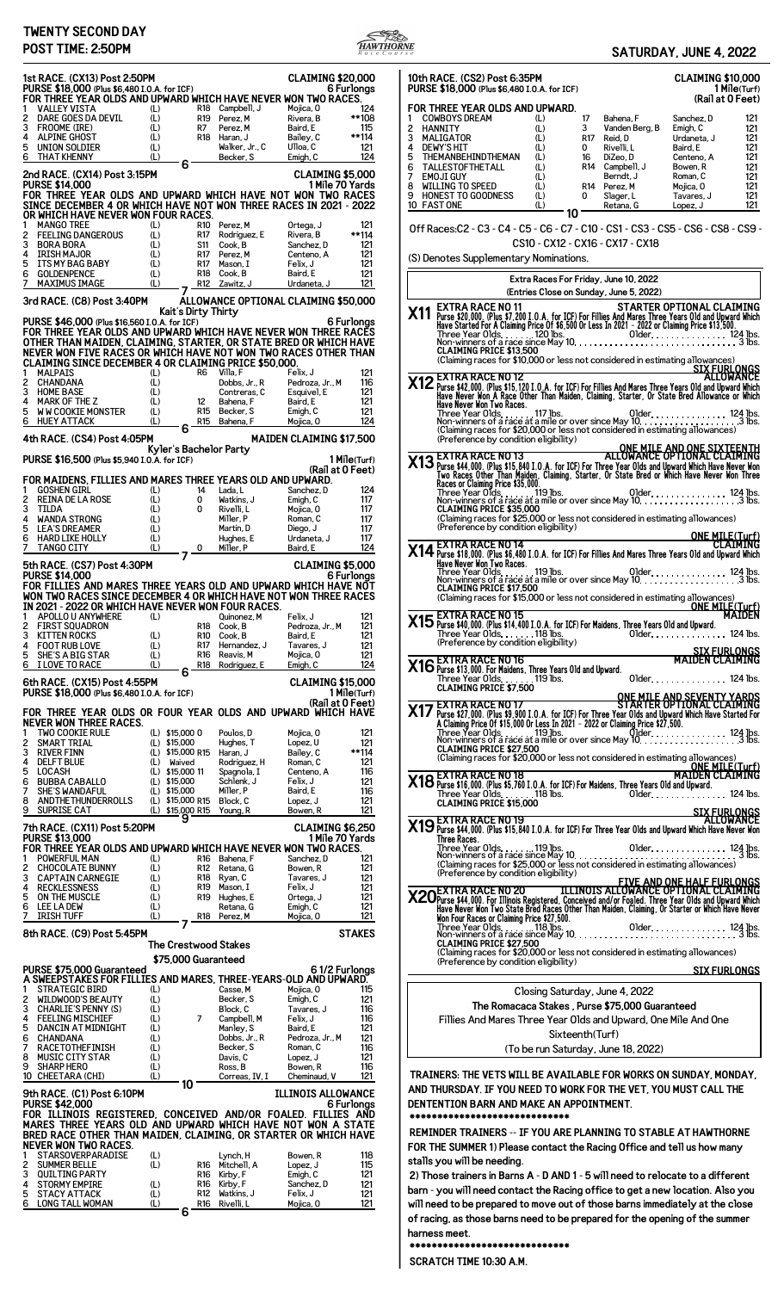## **TWENTY SECOND DAY**



| <b>IWEN IY SECOND DAY</b><br>POST TIME: 2:50PM                                                                                                                     |                                                          | SATURDAY, JUNE 4, 2022                                                                                                                                                                                                                                                                             |
|--------------------------------------------------------------------------------------------------------------------------------------------------------------------|----------------------------------------------------------|----------------------------------------------------------------------------------------------------------------------------------------------------------------------------------------------------------------------------------------------------------------------------------------------------|
| 1st RACE. (CX13) Post 2:50PM                                                                                                                                       | <b>CLAIMING \$20,000</b>                                 | 10th RACE. (CS2) Post 6:35PM<br><b>CLAIMING \$10,000</b>                                                                                                                                                                                                                                           |
| PURSE \$18,000 (Plus \$6,480 I.O.A. for ICF)<br>FOR THREE YEAR OLDS AND UPWARD WHICH HAVE NEVER WON TWO RACES.                                                     | 6 Furlongs                                               | PURSE \$18,000 (Plus \$6,480 I.O.A. for ICF)<br>1 Mile(Turf)<br>(Rail at 0 Feet)                                                                                                                                                                                                                   |
| <b>VALLEY VISTA</b><br>R18 Campbell, J<br>(L)<br>2<br>DARE GOES DA DEVIL<br>(L)<br>R19 Perez, M                                                                    | Mojica, 0<br>124<br>Rivera, B<br>**108                   | FOR THREE YEAR OLDS AND UPWARD.<br><b>COWBOYS DREAM</b><br>$\mathbf{1}$<br>(L)<br>17<br>Bahena, F<br>Sanchez, D<br>121                                                                                                                                                                             |
| 3<br>(L)<br>FROOME (IRE)<br>R7<br>Perez, M<br>(L)<br><b>ALPINE GHOST</b><br>R18 Haran, J                                                                           | Baird, E<br>115<br>Bailey, C<br>**114                    | (L)<br>2<br>HANNITY<br>3<br>Vanden Berg, B<br>Emigh, C<br>121<br>3<br>(L)<br>R17 Reid, D<br>Urdaneta, J<br>MALIGATOR<br>121                                                                                                                                                                        |
| (L)<br>5<br>Walker, Jr., C<br>UNION SOLDIER<br>(L)<br><b>THAT KHENNY</b><br>Becker, S<br>6                                                                         | Ulloa, C<br>121<br>Emigh, C<br>124                       | 4<br>Rivelli, L<br>Baird, E<br><b>DEWY'S HIT</b><br>(L)<br>$\Omega$<br>121<br>5<br>THEMANBEHINDTHEMAN<br>DiZeo.D<br>Centeno, A<br>121<br>(L)<br>16                                                                                                                                                 |
| 6<br>2nd RACE. (CX14) Post 3:15PM<br><b>PURSE \$14,000</b>                                                                                                         | CLAIMING \$5,000<br>1 Mile 70 Yards                      | 6<br>TALLESTOFTHETALL<br>(L)<br>R14 Campbell, J<br>Bowen, R<br>121<br>7<br><b>EMOJI GUY</b><br>(L)<br>Berndt, J<br>Roman, C<br>121<br>WILLING TO SPEED                                                                                                                                             |
| FOR THREE YEAR OLDS AND UPWARD WHICH HAVE NOT WON TWO RACES<br>SINCE DECEMBER 4 OR WHICH HAVE NOT WON THREE RACES IN 2021 - 2022                                   |                                                          | 8<br>(L)<br>Mojica, O<br>121<br>R14 Perez. M<br>9<br><b>HONEST TO GOODNESS</b><br>(L)<br>121<br>0<br>Slager, L<br>Tavares, J<br>10 FAST ONE<br>(L)<br>121                                                                                                                                          |
| OR WHICH HAVE NEVER WON FOUR RACES.<br><b>MANGO TREE</b><br>(L)<br>R10 Perez, M                                                                                    | 121<br>Ortega, J                                         | Retana, G<br>Lopez, J<br>10                                                                                                                                                                                                                                                                        |
| 2<br><b>FEELING DANGEROUS</b><br>R17<br>(L)<br>Rodriguez, E<br>3<br>(L)<br>Cook, B<br><b>BORA BORA</b><br>S11                                                      | Rivera, B<br>**114<br>Sanchez, D<br>121                  | Off Races:C2 - C3 - C4 - C5 - C6 - C7 - C10 - CS1 - CS3 - CS5 - CS6 - CS8 - CS9 -<br>CS10 - CX12 - CX16 - CX17 - CX18                                                                                                                                                                              |
| <b>IRISH MAJOR</b><br>(L)<br>4<br>R17 Perez, M<br>(L)<br>ITS MY BAG BABY<br>R17 Mason, I                                                                           | Centeno, A<br>121<br>121<br>Felix, J                     | (S) Denotes Supplementary Nominations.                                                                                                                                                                                                                                                             |
| <b>GOLDENPENCE</b><br>(L)<br>6<br>R18 Cook. B<br>(L)<br><b>MAXIMUS IMAGE</b><br>R12 Zawitz, J                                                                      | 121<br>Baird, E<br>121<br>Urdaneta, J                    | Extra Races For Friday, June 10, 2022                                                                                                                                                                                                                                                              |
| 3rd RACE. (C8) Post 3:40PM                                                                                                                                         | ÁLLOWANCE OPTIONAL CLAIMING \$50,000                     | (Entries Close on Sunday, June 5, 2022)                                                                                                                                                                                                                                                            |
| Kait's Dirty Thirty<br>PURSE \$46,000 (Plus \$16,560 I.O.A. for ICF)                                                                                               | 6 Furlongs                                               | EXTRA RACE NO 11<br>Purse \$20,000. (Plus \$7,200 I.O.A. for ICF) For Fillies And Mares Three Years Old and Upward Which<br>Have Started For A Claiming Price Of \$6,500 Or Less In 2021 - 2022 or Claiming Price \$13,500.<br>Three Yea<br>X <sub>11</sub>                                        |
| FOR THREE YEAR OLDS AND UPWARD WHICH HAVE NEVER WON THREE RACES<br>OTHER THAN MAIDEN, CLAIMING, STARTER, OR STATE BRED OR WHICH HAVE                               |                                                          |                                                                                                                                                                                                                                                                                                    |
| NEVER WON FIVE RACES OR WHICH HAVE NOT WON TWO RACES OTHER THAN<br><b>CLAIMING SINCE DECEMBER 4 OR CLAIMING PRICE \$50,000.</b>                                    |                                                          | (Claiming races for \$10,000 or less not considered in estimating allowances)                                                                                                                                                                                                                      |
| 1 MALPAIS<br>(L)<br>R6 Villa, F<br>CHANDANA<br>(L)<br>2<br>Dobbs, Jr., R                                                                                           | Felix, J<br>121<br>Pedroza, Jr., M<br>116                | SIX FURLONGS<br>X12 EXTRA RACE NO 12<br>MLOWANCE Purse \$42,000. (Plus \$15,120 I.O.A. for ICF) For Fillies And Mares Three Years Old and Upward Which<br>Have Never Won A Race Other Than Maiden, Claiming, Starter, Or State Bred Allowance or Which                                             |
| (L)<br>3<br><b>HOME BASE</b><br>Contreras, C<br>MARK OF THE Z<br>(L)<br>12<br>Bahena, F<br>4                                                                       | Esquivel. E<br>121<br>Baird, E<br>121                    | Have Never Won Two Races.                                                                                                                                                                                                                                                                          |
| <b>WW COOKIE MONSTER</b><br>(L)<br>5<br>R <sub>15</sub> Becker, S<br>(L)<br><b>HUEY ATTACK</b><br>6<br>R15 Bahena, F                                               | Emigh, C<br>121<br>124<br>Mojica, O                      |                                                                                                                                                                                                                                                                                                    |
| 6<br>4th RACE. (CS4) Post 4:05PM                                                                                                                                   | <b>MAIDEN CLAIMING \$17,500</b>                          | (Claiming races for \$20,000 or less not considered in estimating allowances)<br>(Preference by condition eligibility)<br>ONE MILE AND ONE SIXTEENTH                                                                                                                                               |
| Kyler's Bachelor Party<br>PURSE \$16,500 (Plus \$5,940 I.O.A. for ICF)                                                                                             | 1 Mile(Turf)                                             | <b>X13</b> EXTRA RACE NO 13<br>MLLOWANCE OPTIONAL CLAIMING<br>I'vo Races Other Than Maiden, Claiming, Starter, Or State Bred or Which Have Never Won<br>I'vo Races Other Than Maiden, Claiming, Starter, Or State Bred or Which Have Never W                                                       |
| FOR MAIDENS, FILLIES AND MARES THREE YEARS OLD AND UPWARD.                                                                                                         | (Rail at 0 Feet)                                         |                                                                                                                                                                                                                                                                                                    |
| <b>GOSHEN GIRL</b><br>(L)<br>14<br>Lada, L<br>REINA DE LA ROSE<br>(L)<br>2<br>0<br>Watkins, J<br>3<br>0                                                            | Sanchez, D<br>124<br>Emigh, C<br>117                     |                                                                                                                                                                                                                                                                                                    |
| TILDA<br>(L)<br>Rivelli, L<br><b>WANDA STRONG</b><br>(L)<br>Miller, P<br>4<br>(L)<br>5<br><b>LEA'S DREAMER</b><br>Martin, D                                        | Mojica, O<br>117<br>Roman, C<br>117<br>Diego, J<br>117   | <b>CLAIMING PRICE \$35,000</b><br>(Claiming races for \$25,000 or less not considered in estimating allowances)<br>(Preference by condition eligibility)                                                                                                                                           |
| <b>HARD LIKE HOLLY</b><br>(L)<br>6<br>Hughes, E<br>(L)<br><b>TANGO CITY</b><br>Miller, P<br>0                                                                      | Urdaneta, J<br>117<br>124<br>Baird. E                    | <b>ONE MILE(Turf)</b><br><b>EXTRA RACE NO 14</b><br>CLAIMING                                                                                                                                                                                                                                       |
| 7<br>5th RACE. (CS7) Post 4:30PM                                                                                                                                   | CLAIMING \$5,000                                         | X14 EX I KA KAUE NU 14<br>Have Neyer Won Two Races.<br>Have Neyer Won Two Races. 110 Have Neyer Won The Races.                                                                                                                                                                                     |
| <b>PURSE \$14,000</b><br>FOR FILLIES AND MARES THREE YEARS OLD AND UPWARD WHICH HAVE NOT                                                                           | 6 Furlongs                                               | <b>CLAIMING PRICE \$17,500</b>                                                                                                                                                                                                                                                                     |
| WON TWO RACES SINCE DECEMBER 4 OR WHICH HAVE NOT WON THREE RACES<br>IN 2021 - 2022 OR WHICH HAVE NEVER WON FOUR RACES.                                             |                                                          | (Claiming races for \$15,000 or less not considered in estimating allowances)<br><b>ONE MILE (Turf)</b>                                                                                                                                                                                            |
| (L)<br>APOLLO U ANYWHERE<br>Quinonez, M<br><b>FIRST SQUADRON</b><br>R18 Cook, B                                                                                    | Felix, J<br>121<br>Pedroza, Jr., M<br>121                | X15 EXTRA RACE NO 15<br>X15 Purse \$40,000. (Plus \$14,400 I.O.A., for ICF) For Maidens, Three Years Old and Upward.<br><b>MAIDEN</b>                                                                                                                                                              |
| $(L)$<br>$(L)$<br>3<br>KITTEN ROCKS<br>R10 Cook, B<br><b>FOOT RUB LOVE</b><br>R17 Hernandez, J<br>4                                                                | 121<br>Baird, E<br>121<br>Tavares, J                     | Three Year Olds. 118 lbs.<br>01 der. 124 lbs.<br>(Preference by condition eligibility)                                                                                                                                                                                                             |
| 5<br>(L)<br><b>SHE'S A BIG STAR</b><br>R16 Reavis, M<br>(L)<br>R18 Rodriguez, E<br>6<br>I LOVE TO RACE<br>6                                                        | Mojica, O<br>121<br>124<br>Emigh, C                      | (Preference by condition eligibility)<br>The EXTRA RACE NO 16<br>The Purse \$13,000. For Maidens, Three Years Old and Upward.<br>SIX FURLONGS<br>MAIDEN CLAIMING                                                                                                                                   |
| 6th RACE. (CX15) Post 4:55PM                                                                                                                                       | <b>CLAIMING \$15,000</b><br>1 Mile(Turf)                 | Three Year Olds. 119 lbs.<br>Older. 124 lbs.<br><b>CLAIMING PRICE \$7,500</b>                                                                                                                                                                                                                      |
| PURSE \$18,000 (Plus \$6,480 I.O.A. for ICF)<br>FOR THREE YEAR OLDS OR FOUR YEAR OLDS AND UPWARD WHICH HAVE                                                        | (Rail at 0 Feet)                                         | ONE MILE AND SEVENTY YARDS<br>STARTER OPTIONAL CLAIMING<br><b>X17 EXTRA RACE NO 17</b><br><b>X17 Purse \$27,000. (Plus \$9,900 I.O.A. for ICF) For Three Year OIRT LONDAL CLAIMING</b><br>A Claiming Price 0f \$15,000 Or Less In 2021 - 2022 or Claiming Price \$27,500.<br>Three Year Olds. 119, |
| NEVER WON THREE RACES.<br>1 TWO COOKIE RULE<br>(L) \$15,000 0<br>Poulos, D                                                                                         | Mojica, O<br>121                                         |                                                                                                                                                                                                                                                                                                    |
| SMART TRIAL<br>$(L)$ \$15,000<br>Hughes, T<br>(L) \$15,000 R15 Haran, J<br>3<br><b>RIVER FINN</b>                                                                  | Lopez, U<br>121<br>Bailey, C<br>**114                    | <b>CLAIMING PRICE \$27,500</b>                                                                                                                                                                                                                                                                     |
| 4<br><b>DELFT BLUE</b><br>(L) Waived<br>Rodriguez, H<br>5<br>LOCASH<br>(L) \$15,000 11<br>Spagnola, I                                                              | Roman, C<br>121<br>Centeno, A<br>116                     | (Claiming races for \$20,000 or less not considered in estimating allowances)<br>ONE MILE(Turf)                                                                                                                                                                                                    |
| <b>BUBBA CABALLO<br/>SHE'S WANDAFI II</b><br>Schlenk, J<br>6<br>(L) \$15,000<br>(L) \$15,000<br>7<br><b>SHE'S WANDAFUL</b><br>Miller, P                            | 121<br>Felix, J<br>Baird, E<br>116                       | ONE NOTE:<br>MAIDEN (Plus \$5,760 I.O.A. for ICF) For Maidens, Three Years Old and Upward.<br>Three Year Olds. 118 lbs.<br>Older. 124 lbs.                                                                                                                                                         |
| 8<br>ANDTHETHUNDERROLLS<br>(L) \$15,000 R15 Block, C<br>9<br>SUPRISE CAT<br>(L) \$15,000 R15 Young, R                                                              | Lopez, J<br>121<br>Bowen, R<br>121                       | <b>CLAIMING PRICE \$15,000</b>                                                                                                                                                                                                                                                                     |
| 7th RACE. (CX11) Post 5:20PM                                                                                                                                       | <b>CLAIMING \$6,250</b>                                  | SIX FURLONGS<br>ALLOWANCE<br>SIX FURLONGS<br>ALLOWANCE<br>X19 Purse \$44,000. (Plus \$15,840 I.O.A. for ICF) For Three Year Olds and Upward Which Have Never Won                                                                                                                                   |
| <b>PURSE \$13,000</b><br>FOR THREE YEAR OLDS AND UPWARD WHICH HAVE NEVER WON TWO RACES.                                                                            | 1 Mile 70 Yards                                          | Three Races.                                                                                                                                                                                                                                                                                       |
| POWERFUL MAN<br>(L)<br>R16 Bahena, F<br>2<br><b>CHOCOLATE BUNNY</b><br>(L)<br>R12 Retana, G                                                                        | Sanchez, D<br>121<br>Bowen, R<br>121                     | (Preference by condition eligibility)                                                                                                                                                                                                                                                              |
| 3<br><b>CAPTAIN CARNEGIE</b><br>(L)<br>R18 Ryan, C<br><b>RECKLESSNESS</b><br>(L)<br>R19 Mason, I<br>4<br>5<br>ON THE MUSCLE<br>R19 Hughes, E                       | Tavares, J<br>121<br>Felix, J<br>121<br>121<br>Ortega, J | FIVE AND ONE HALF FURLONGS<br>X20 Purse \$44,000. For Illinois Registered, Conceived and/or Foaled. Three Year Olds and Upward Which<br>Have Never Won Two State Bred Races Other Than Maiden, Claiming, Or Starter or Which Have Nev                                                              |
| $(L)$<br>$(L)$<br>6<br><b>LEE LA DEW</b><br>Retana, G<br>(L)<br><b>IRISH TUFF</b><br>R18 Perez, M                                                                  | Emigh, C<br>121<br>Mojica, O<br>121                      |                                                                                                                                                                                                                                                                                                    |
| 8th RACE. (C9) Post 5:45PM                                                                                                                                         | <b>STAKES</b>                                            |                                                                                                                                                                                                                                                                                                    |
| The Crestwood Stakes<br>\$75,000 Guaranteed                                                                                                                        |                                                          | <b>CLAIMING PRICE \$27,500</b><br>(Claiming races for \$20,000 or less not considered in estimating allowances)                                                                                                                                                                                    |
| PURSE \$75,000 Guaranteed                                                                                                                                          | 61/2 Furlongs                                            | (Preference by condition eligibility)<br><b>SIX FURLONGS</b>                                                                                                                                                                                                                                       |
| A SWEEPSTAKES FOR FILLIES AND MARES, THREE-YEARS-OLD AND UPWARD.<br><b>STRATEGIC BIRD</b><br>Casse, M<br>(L)<br>Becker, S                                          | Mojica, O<br>115<br>Emigh, C                             | Closing Saturday, June 4, 2022                                                                                                                                                                                                                                                                     |
| 2<br><b>WILDWOOD'S BEAUTY</b><br>(L)<br>3<br><b>CHARLIE'S PENNY (S)</b><br>(L)<br>Block, C<br><b>FEELING MISCHIEF</b><br>(L)<br>$\overline{7}$<br>Campbell, M<br>4 | 121<br>Tavares, J<br>116<br>116<br>Felix, J              | The Romacaca Stakes, Purse \$75,000 Guaranteed                                                                                                                                                                                                                                                     |
| 5<br><b>DANCIN AT MIDNIGHT</b><br>(L)<br>Manley, S<br>CHANDANA<br>(L)<br>6<br>Dobbs, Jr., R                                                                        | Baird, E<br>121<br>121<br>Pedroza, Jr., M                | Fillies And Mares Three Year Olds and Upward, One Mile And One<br>Sixteenth(Turf)                                                                                                                                                                                                                  |
| RACETOTHEFINISH<br>(L)<br>Becker, S<br>7<br>(L)<br>Davis, C<br>8<br><b>MUSIC CITY STAR</b>                                                                         | 116<br>Roman, C<br>121<br>Lopez, J                       | (To be run Saturday, June 18, 2022)                                                                                                                                                                                                                                                                |
| (L)<br>9<br><b>SHARP HERO</b><br>Ross, B<br>(L)<br>Correas, IV, I<br>10 CHEETARA (CHI)                                                                             | Bowen, R<br>116<br>Cheminaud, V<br>121                   | TRAINERS: THE VETS WILL BE AVAILABLE FOR WORKS ON SUNDAY, MONDAY,                                                                                                                                                                                                                                  |
| 10 <sup>1</sup><br>9th RACE. (C1) Post 6:10PM                                                                                                                      | <b>ILLINOIS ALLOWANCE</b>                                | AND THURSDAY. IF YOU NEED TO WORK FOR THE VET, YOU MUST CALL THE                                                                                                                                                                                                                                   |
| <b>PURSE \$42,000</b><br>FOR ILLINOIS REGISTERED, CONCEIVED AND/OR FOALED. FILLIES AND                                                                             | 6 Furlongs                                               | DENTENTION BARN AND MAKE AN APPOINTMENT.<br>****************************                                                                                                                                                                                                                           |
| MARES THREE YEARS OLD AND UPWARD WHICH HAVE NOT WON A STATE<br>BRED RACE OTHER THAN MAIDEN, CLAIMING, OR STARTER OR WHICH HAVE                                     |                                                          | REMINDER TRAINERS -- IF YOU ARE PLANNING TO STABLE AT HAWTHORNE                                                                                                                                                                                                                                    |
| <b>NEVER WON TWO RACES.</b><br><b>STARSOVERPARADISE</b><br>(L)<br>Lynch, H                                                                                         | Bowen, R<br>118                                          | FOR THE SUMMER 1) Please contact the Racing Office and tell us how many                                                                                                                                                                                                                            |
| (L)<br>R16 Mitchell, A<br>$\mathbf{2}$<br><b>SUMMER BELLE</b><br>3 QUILTING PARTY<br>R16 Kirby, F                                                                  | 115<br>Lopez, J<br>Emiah. C<br>121                       | stalls you will be needing.<br>2) Those trainers in Barns A - D AND 1 - 5 will need to relocate to a different                                                                                                                                                                                     |
| (L)<br><b>STORMY EMPIRE</b><br>R16 Kirby, F<br>(L)<br>5<br><b>STACY ATTACK</b><br>R12 Watkins, J                                                                   | 121<br>Sanchez, D<br>121<br>Felix, J                     | barn - you will need contact the Racing office to get a new location. Also you                                                                                                                                                                                                                     |
| (L)<br>LONG TALL WOMAN<br>6<br>R <sub>16</sub> Rivelli, L<br>6                                                                                                     | 121<br>Mojica, O                                         | will need to be prepared to move out of those barns immediately at the close<br>of reging, as those herns peed to be prepared for the opening of the summer.                                                                                                                                       |

| 10th RACE. (CS2) Post 6:35PM<br>PURSE \$18,000 (Plus \$6,480 I.O.A. for ICF)                                                                                                                                                                                                                                                                                       |                                                                          |                                                                 | <b>CLAIMING \$10,000</b><br><b>1 Mile</b> (Turf)<br>(Rail at 0 Feet)                                                               |                                                                                                                                |                                                                    |  |
|--------------------------------------------------------------------------------------------------------------------------------------------------------------------------------------------------------------------------------------------------------------------------------------------------------------------------------------------------------------------|--------------------------------------------------------------------------|-----------------------------------------------------------------|------------------------------------------------------------------------------------------------------------------------------------|--------------------------------------------------------------------------------------------------------------------------------|--------------------------------------------------------------------|--|
| FOR THREE YEAR OLDS AND UPWARD.<br><b>COWBOYS DREAM</b><br>1<br>2<br>HANNITY<br>$\overline{\mathbf{3}}$<br>MALIGATOR<br>4<br><b>DEWY'S HIT</b><br>5<br>THEMANBEHINDTHEMAN<br>6<br>TALLESTOFTHETALL<br>7<br><b>EMOJI GUY</b><br>8<br>WILLING TO SPEED<br>9<br><b>HONEST TO GOODNESS</b><br>10 FAST ONE                                                              | (L)<br>(L)<br>(L)<br>(L)<br>(L)<br>(L)<br>(L)<br>(L)<br>(L)<br>(L)<br>10 | 17<br>3<br><b>R17</b><br>0<br>16<br>R <sub>14</sub><br>R14<br>0 | Bahena, F<br>Vanden Berg, B<br>Reid, D<br>Rivelli, L<br>DiZeo, D<br>Campbell, J<br>Berndt, J<br>Perez, M<br>Slager, L<br>Retana, G | Sanchez, D<br>Emigh, C<br>Urdaneta, J<br>Baird, E<br>Centeno, A<br>Bowen, R<br>Roman, C<br>Mojica, O<br>Tavares, J<br>Lopez, J | 121<br>121<br>121<br>121<br>121<br>121<br>121<br>121<br>121<br>121 |  |
| Off Races:C2 - C3 - C4 - C5 - C6 - C7 - C10 - CS1 - CS3 - CS5 - CS6 - CS8 - CS9 -                                                                                                                                                                                                                                                                                  |                                                                          |                                                                 | CS10 - CX12 - CX16 - CX17 - CX18                                                                                                   |                                                                                                                                |                                                                    |  |
| (S) Denotes Supplementary Nominations.                                                                                                                                                                                                                                                                                                                             |                                                                          |                                                                 |                                                                                                                                    |                                                                                                                                |                                                                    |  |
|                                                                                                                                                                                                                                                                                                                                                                    | Extra Races For Friday, June 10, 2022                                    |                                                                 | (Entries Close on Sunday, June 5, 2022)                                                                                            |                                                                                                                                |                                                                    |  |
| <b>EXTRA RACE NO 11</b><br>X11<br>Purse \$20,000. (Plus \$7,200 I.O.A. for ICF) For Fillies And Mares Three Years Old and Upward Which<br>Have Started For A Claiming Price Of \$6,500 Or Less In 2021 - 2022 or Claiming Price \$13,500<br><b>CLAIMING PRICE \$13,500</b><br>(Claiming races for \$10,000 or less not considered in estimating allowances)        |                                                                          |                                                                 |                                                                                                                                    | STARTER OPTIONAL CLAIMING<br><u>SIX FURI ONGS</u><br>ALLOWANCE                                                                 |                                                                    |  |
| EXTRA RACE NO 12<br>X12 EX I RA RACE NU IZ<br>Have Never 1000. (Plus \$15,120 I.O.A. for ICF) For Fillies And Mares Three Years Old and Upward Which<br>Have Never Mon A Race Other Than Maiden, Claiming, Starter, Or State Bred Allowance or Which<br>Have Never Won Two Races.<br>(Claiming races for \$20,000 or less not considered in estimating allowances) |                                                                          |                                                                 |                                                                                                                                    |                                                                                                                                |                                                                    |  |
| (Preference by condition eligibility)<br><b>X13</b> EXTRA RACE NO 13<br>These \$44,000. (Plus \$15,840 I.O.A. for ICF) For Three Year Olds and Upward Which Have Never Won<br>Two Races of Claim Marchon, Claiming, Starter, Or State Bred or Which Have Never Won<br>Races of Claim                                                                               |                                                                          |                                                                 | ONE MILE AND ONE SIXTEENTH<br>____ ALLOWANCE OPTIONAL CLAIMING                                                                     |                                                                                                                                |                                                                    |  |
| CLAIMING PRICE \$35,000<br>(Claiming races for \$25,000 or less not considered in estimating allowances)<br>(Preference by condition eligibility)                                                                                                                                                                                                                  |                                                                          |                                                                 |                                                                                                                                    |                                                                                                                                |                                                                    |  |
| <b>EXTRA RACE NO 14</b><br>X14 Purse \$18,000. (Plus \$6,480 I.O.A. for ICF) For Fillies And Mares Three Years Old and Upward Which<br>Have Never Won Two Races.                                                                                                                                                                                                   |                                                                          |                                                                 |                                                                                                                                    | ONE MILE (Turf)<br>CLAIMING                                                                                                    |                                                                    |  |
| <b>CLAIMING PRICE \$17,500</b><br>(Claiming races for \$15,000 or less not considered in estimating allowances)<br>· EXTRA RACE NO 15                                                                                                                                                                                                                              |                                                                          |                                                                 |                                                                                                                                    | ONE MILE (Turf)                                                                                                                |                                                                    |  |
| $X15$ Purse \$40,000. (Plus \$14,400 I.O.A., for ICF) For Maidens, Three Years Old and Upward.<br>Three Year Olds. 118 lbs.         Older. 124 lbs.<br>(Preference by condition eligibility)                                                                                                                                                                       |                                                                          |                                                                 |                                                                                                                                    |                                                                                                                                |                                                                    |  |
| EXTRA RACE NO 16<br>X16 Purse \$13,000. For Maidens, Three Years Old and Upward.<br>Three Year Olds119 lbs.<br>CLAIMING PRICE \$7,500                                                                                                                                                                                                                              |                                                                          |                                                                 |                                                                                                                                    | SIX FURLONGS<br>MAIDEN CLAIMING<br>Older. 124 lbs.                                                                             |                                                                    |  |
| STARTER OPTIONAL CLAIMING<br>27 Purse \$27,000. (Plus \$9,900 I.O.A. for ICF) For Three Year Olds and Upward Which Have Started For<br>4. Glaiming Price Of \$15,000 Or Less In 2021 – 2022 or Claiming Price \$27,500.<br>CLAIMING PRICE \$27,500                                                                                                                 |                                                                          |                                                                 |                                                                                                                                    | <u>ONE MILE AND SEVENTY YARDS</u><br>STARTER OPTIONAL CLAIMING                                                                 |                                                                    |  |
| (Claiming races for \$20,000 or less not considered in estimating allowances)<br>, EXTRA RACE NO 18<br>X18 Purse \$16,000. (Plus \$5,760 I.O.A. for ICF) For Maidens, Three Years Old and Upward.<br>Three Year Olds118 lbs.<br>CLAIMING PRICE \$15,000                                                                                                            |                                                                          |                                                                 |                                                                                                                                    | ONE MILE (Turf)<br>Older. 124 lbs.                                                                                             |                                                                    |  |
| X19 EXTRA RACE NO 19<br>X19 Purse \$44,000. (Plus \$15,840 I.O.A. for ICF) For Three Year Olds and Upward Which Have Never Won                                                                                                                                                                                                                                     |                                                                          |                                                                 |                                                                                                                                    | SIX FURLONGS<br>ALLOWANCE                                                                                                      |                                                                    |  |
| Three Races.<br>(Preference by condition eligibility)                                                                                                                                                                                                                                                                                                              |                                                                          |                                                                 |                                                                                                                                    |                                                                                                                                |                                                                    |  |
| EIVE AND ONE HALF FURLONGS<br>EXTRA RACE NO 20 ILLINOIS ALLOWANCE OPTIONAL CLAIMING<br><b>X20</b> EX I RA RACE NU ZU<br>Have Never Won Two State Bred Races Other Than Maiden, Claiming, Or Starter or Which Have Never Won Two State Bred Races Other Than Maiden, Claiming, Or Starter or Which Have Never<br>Hon Four Races o                                   |                                                                          |                                                                 |                                                                                                                                    |                                                                                                                                |                                                                    |  |
| <b>CLAIMING PRICE \$27,500</b><br>(Claiming races for \$20,000 or less not considered in estimating allowances)<br>(Preference by condition eligibility)                                                                                                                                                                                                           |                                                                          |                                                                 |                                                                                                                                    | SIX FURLONGS                                                                                                                   |                                                                    |  |
| Fillies And Mares Three Year Olds and Upward, One Mile And One                                                                                                                                                                                                                                                                                                     | Closing Saturday, June 4, 2022<br>Sixteenth(Turf)                        |                                                                 | The Romacaca Stakes , Purse \$75,000 Guaranteed<br>(To be run Saturday, June 18, 2022)                                             |                                                                                                                                |                                                                    |  |
| TRAINERS: THE VETS WILL BE AVAILABLE FOR WORKS ON SUNDAY, MONDAY,<br>AND THURSDAY. IF YOU NEED TO WORK FOR THE VET, YOU MUST CALL THE<br>DENTENTION BARN AND MAKE AN APPOINTMENT.<br>************************                                                                                                                                                      |                                                                          |                                                                 |                                                                                                                                    |                                                                                                                                |                                                                    |  |

**2) Those trainers in Barns A - D AND 1 - 5 will need to relocate to a different barn - you will need contact the Racing office to get a new location. Also you will need to be prepared to move out of those barns immediately at the close of racing, as those barns need to be prepared for the opening of the summer harness meet.**

**\*\*\*\*\*\*\*\*\*\*\*\*\*\*\*\*\*\*\*\*\*\*\*\*\*\*\*\*\***

**SCRATCH TIME 10:30 A.M.**